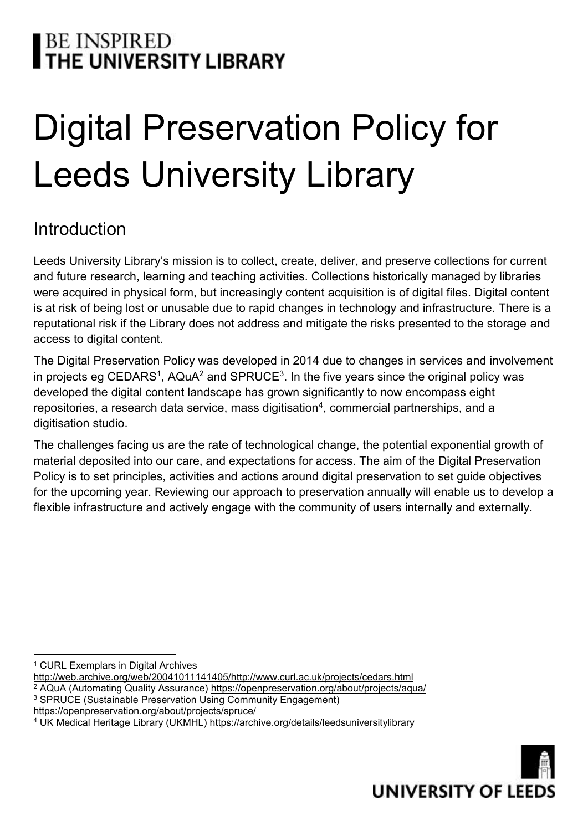# | BE INSPIRED<br>**| THE UNIVERSITY LIBRARY**

# Digital Preservation Policy for Leeds University Library

## Introduction

Leeds University Library's mission is to collect, create, deliver, and preserve collections for current and future research, learning and teaching activities. Collections historically managed by libraries were acquired in physical form, but increasingly content acquisition is of digital files. Digital content is at risk of being lost or unusable due to rapid changes in technology and infrastructure. There is a reputational risk if the Library does not address and mitigate the risks presented to the storage and access to digital content.

The Digital Preservation Policy was developed in 2014 due to changes in services and involvement in projects eg CEDARS<sup>1</sup>, AQuA<sup>2</sup> and SPRUCE<sup>3</sup>. In the five years since the original policy was developed the digital content landscape has grown significantly to now encompass eight repositories, a research data service, mass digitisation<sup>4</sup>, commercial partnerships, and a digitisation studio.

The challenges facing us are the rate of technological change, the potential exponential growth of material deposited into our care, and expectations for access. The aim of the Digital Preservation Policy is to set principles, activities and actions around digital preservation to set guide objectives for the upcoming year. Reviewing our approach to preservation annually will enable us to develop a flexible infrastructure and actively engage with the community of users internally and externally.

- [http://web.archive.org/web/20041011141405/http://www.curl.ac.uk/projects/cedars.html](http://web.archive.org/web/20041011141405/http:/www.curl.ac.uk/projects/cedars.html)
- <sup>2</sup> AQuA (Automating Quality Assurance)<https://openpreservation.org/about/projects/aqua/>
- <sup>3</sup> SPRUCE (Sustainable Preservation Using Community Engagement)
- <https://openpreservation.org/about/projects/spruce/>

<sup>4</sup> UK Medical Heritage Library (UKMHL)<https://archive.org/details/leedsuniversitylibrary>



 $\overline{a}$ <sup>1</sup> CURL Exemplars in Digital Archives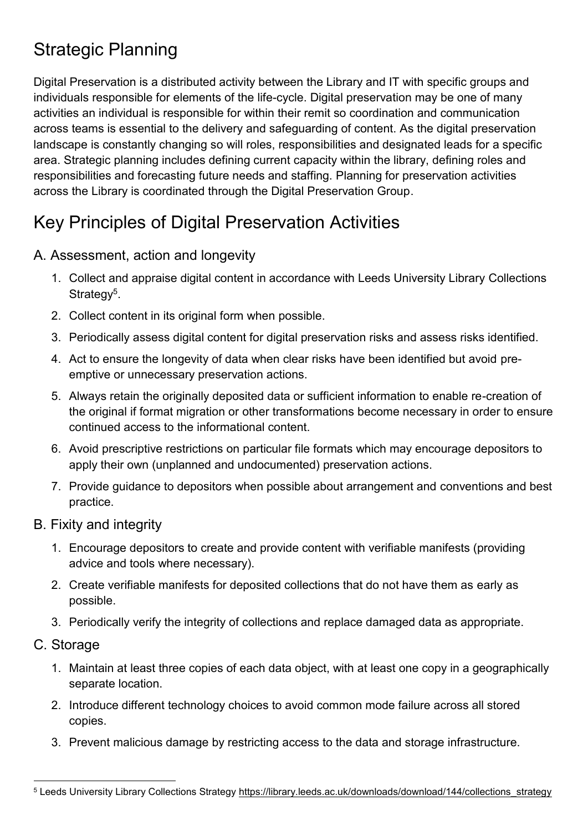## Strategic Planning

Digital Preservation is a distributed activity between the Library and IT with specific groups and individuals responsible for elements of the life-cycle. Digital preservation may be one of many activities an individual is responsible for within their remit so coordination and communication across teams is essential to the delivery and safeguarding of content. As the digital preservation landscape is constantly changing so will roles, responsibilities and designated leads for a specific area. Strategic planning includes defining current capacity within the library, defining roles and responsibilities and forecasting future needs and staffing. Planning for preservation activities across the Library is coordinated through the Digital Preservation Group.

## Key Principles of Digital Preservation Activities

### A. Assessment, action and longevity

- 1. Collect and appraise digital content in accordance with Leeds University Library Collections Strategy<sup>5</sup>.
- 2. Collect content in its original form when possible.
- 3. Periodically assess digital content for digital preservation risks and assess risks identified.
- 4. Act to ensure the longevity of data when clear risks have been identified but avoid preemptive or unnecessary preservation actions.
- 5. Always retain the originally deposited data or sufficient information to enable re-creation of the original if format migration or other transformations become necessary in order to ensure continued access to the informational content.
- 6. Avoid prescriptive restrictions on particular file formats which may encourage depositors to apply their own (unplanned and undocumented) preservation actions.
- 7. Provide guidance to depositors when possible about arrangement and conventions and best practice.
- B. Fixity and integrity
	- 1. Encourage depositors to create and provide content with verifiable manifests (providing advice and tools where necessary).
	- 2. Create verifiable manifests for deposited collections that do not have them as early as possible.
	- 3. Periodically verify the integrity of collections and replace damaged data as appropriate.
- C. Storage
	- 1. Maintain at least three copies of each data object, with at least one copy in a geographically separate location.
	- 2. Introduce different technology choices to avoid common mode failure across all stored copies.
	- 3. Prevent malicious damage by restricting access to the data and storage infrastructure.

l 5 Leeds University Library Collections Strategy [https://library.leeds.ac.uk/downloads/download/144/collections\\_strategy](https://library.leeds.ac.uk/downloads/download/144/collections_strategy)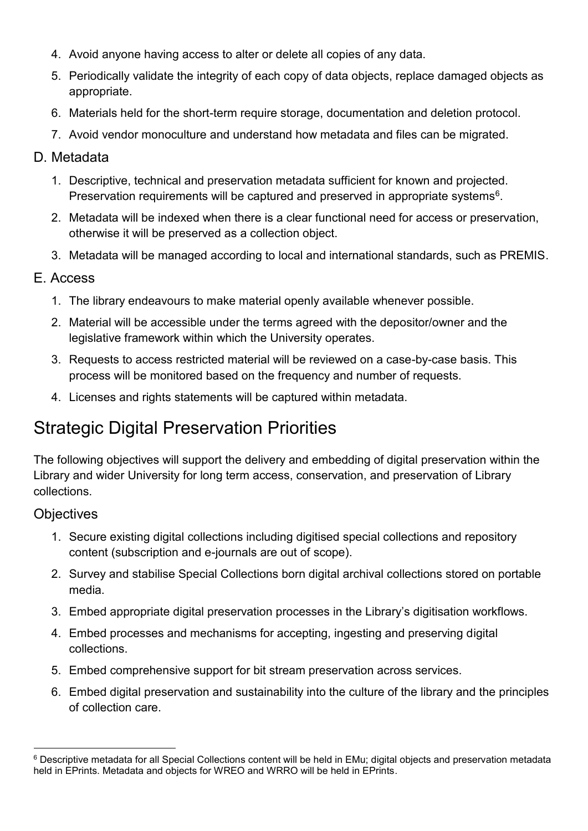- 4. Avoid anyone having access to alter or delete all copies of any data.
- 5. Periodically validate the integrity of each copy of data objects, replace damaged objects as appropriate.
- 6. Materials held for the short-term require storage, documentation and deletion protocol.
- 7. Avoid vendor monoculture and understand how metadata and files can be migrated.

#### D. Metadata

- 1. Descriptive, technical and preservation metadata sufficient for known and projected. Preservation requirements will be captured and preserved in appropriate systems<sup>6</sup>.
- 2. Metadata will be indexed when there is a clear functional need for access or preservation, otherwise it will be preserved as a collection object.
- 3. Metadata will be managed according to local and international standards, such as PREMIS.

#### E. Access

- 1. The library endeavours to make material openly available whenever possible.
- 2. Material will be accessible under the terms agreed with the depositor/owner and the legislative framework within which the University operates.
- 3. Requests to access restricted material will be reviewed on a case-by-case basis. This process will be monitored based on the frequency and number of requests.
- 4. Licenses and rights statements will be captured within metadata.

## Strategic Digital Preservation Priorities

The following objectives will support the delivery and embedding of digital preservation within the Library and wider University for long term access, conservation, and preservation of Library collections.

#### **Objectives**

l

- 1. Secure existing digital collections including digitised special collections and repository content (subscription and e-journals are out of scope).
- 2. Survey and stabilise Special Collections born digital archival collections stored on portable media.
- 3. Embed appropriate digital preservation processes in the Library's digitisation workflows.
- 4. Embed processes and mechanisms for accepting, ingesting and preserving digital collections.
- 5. Embed comprehensive support for bit stream preservation across services.
- 6. Embed digital preservation and sustainability into the culture of the library and the principles of collection care.

<sup>6</sup> Descriptive metadata for all Special Collections content will be held in EMu; digital objects and preservation metadata held in EPrints. Metadata and objects for WREO and WRRO will be held in EPrints.